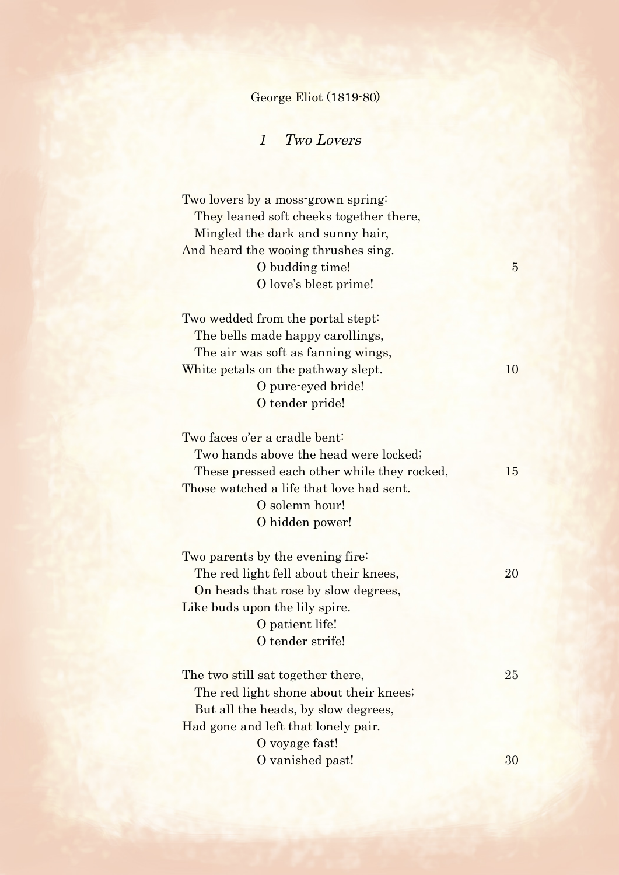## George Eliot (1819-80)

## 1 Two Lovers

Two lovers by a moss-grown spring: They leaned soft cheeks together there, Mingled the dark and sunny hair, And heard the wooing thrushes sing. O budding time! O love's blest prime!

Two wedded from the portal stept: The bells made happy carollings, The air was soft as fanning wings, White petals on the pathway slept. 10 O pure-eyed bride! O tender pride!

Two faces o'er a cradle bent: Two hands above the head were locked; These pressed each other while they rocked, 15 Those watched a life that love had sent. O solemn hour! O hidden power!

| Two parents by the evening fire:      |  |
|---------------------------------------|--|
| The red light fell about their knees, |  |
| On heads that rose by slow degrees,   |  |
| Like buds upon the lily spire.        |  |
| O patient life!                       |  |
| O tender strife!                      |  |
|                                       |  |

The two still sat together there, 25 The red light shone about their knees; But all the heads, by slow degrees, Had gone and left that lonely pair. O voyage fast! O vanished past! 30